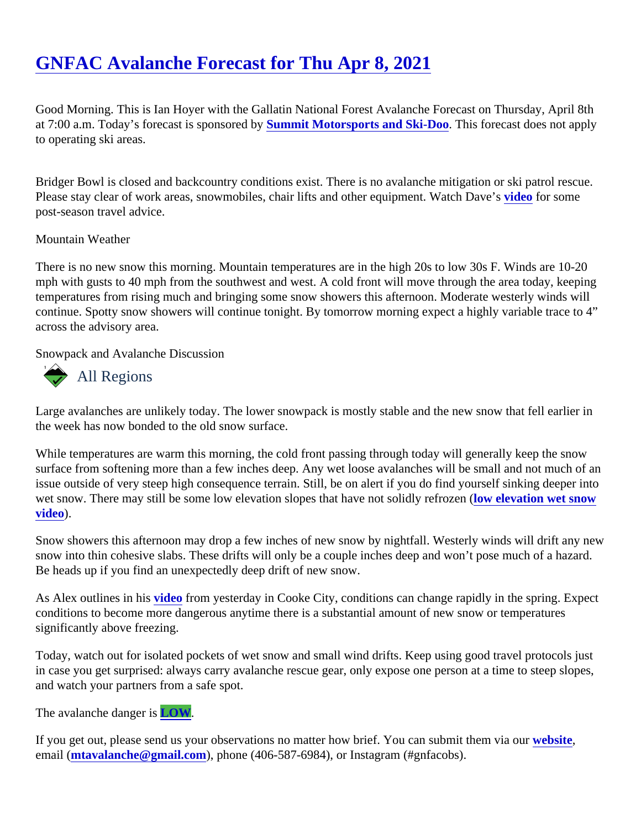Good Morning. This is Ian Hoyer with the Gallatin National Forest Avalanche Forecast on Thursday, April 8th at 7:00 a.m. Today's forecast is sponsore **Sbynmit Motorsports and Ski-Doo.** This forecast does not apply to operating ski areas.

Bridger Bowl is closed and backcountry conditions exist. There is no avalanche mitigation or ski patrol rescue. Please stay clear of work areas, snowmobiles, chair lifts and other equipment. Watc[h Dav](https://www.youtube.com/watch?v=zcTGZm8vnZA)etor some post-season travel advice.

## Mountain Weather

There is no new snow this morning. Mountain temperatures are in the high 20s to low 30s F. Winds are 10-20 mph with gusts to 40 mph from the southwest and west. A cold front will move through the area today, keepin temperatures from rising much and bringing some snow showers this afternoon. Moderate westerly winds will continue. Spotty snow showers will continue tonight. By tomorrow morning expect a highly variable trace to 4" across the advisory area.

Snowpack and Avalanche Discussion

## All Regions

Large avalanches are unlikely today. The lower snowpack is mostly stable and the new snow that fell earlier i the week has now bonded to the old snow surface.

While temperatures are warm this morning, the cold front passing through today will generally keep the snow surface from softening more than a few inches deep. Any wet loose avalanches will be small and not much of issue outside of very steep high consequence terrain. Still, be on alert if you do find yourself sinking deeper in wet snow. There may still be some low elevation slopes that have not solidly refrom zethe (vation wet snow [video](https://youtu.be/O0zg6kr5eyw)).

Snow showers this afternoon may drop a few inches of new snow by nightfall. Westerly winds will drift any ne snow into thin cohesive slabs. These drifts will only be a couple inches deep and won't pose much of a hazar Be heads up if you find an unexpectedly deep drift of new snow.

As Alex outlines in his *rideo* from yesterday in Cooke City, conditions can change rapidly in the spring. Expect conditions to become more dangerous anytime there is a substantial amount of new snow or temperatures significantly above freezing.

Today, watch out for isolated pockets of wet snow and small wind drifts. Keep using good travel protocols just in case you get surprised: always carry avalanche rescue gear, only expose one person at a time to steep slo and watch your partners from a safe spot.

The avalanche danger LOW.

If you get out, please send us your observations no matter how brief. You can submit them velasing email [\(mtavalanche@gmail.com](mailto:mtavalanche@gmail.com)), phone (406-587-6984), or Instagram (#gnfacobs).